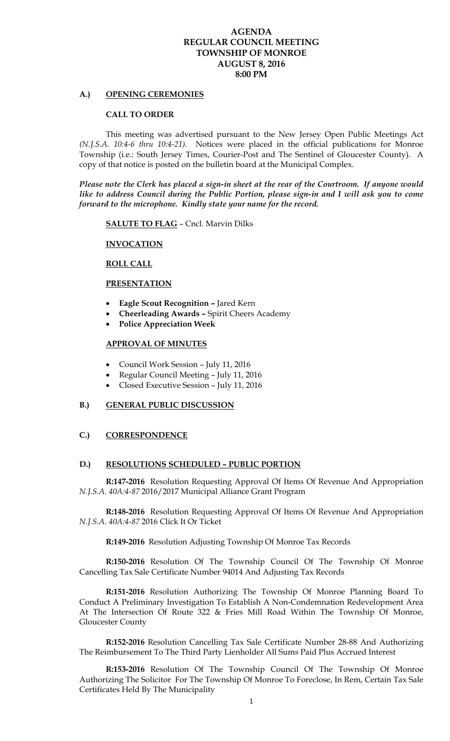## **AGENDA REGULAR COUNCIL MEETING TOWNSHIP OF MONROE AUGUST 8, 2016 8:00 PM**

### **A.) OPENING CEREMONIES**

#### **CALL TO ORDER**

 This meeting was advertised pursuant to the New Jersey Open Public Meetings Act *(N.J.S.A. 10:4-6 thru 10:4-21).* Notices were placed in the official publications for Monroe Township (i.e.: South Jersey Times, Courier-Post and The Sentinel of Gloucester County). A copy of that notice is posted on the bulletin board at the Municipal Complex.

*Please note the Clerk has placed a sign-in sheet at the rear of the Courtroom. If anyone would like to address Council during the Public Portion, please sign-in and I will ask you to come forward to the microphone. Kindly state your name for the record.* 

**SALUTE TO FLAG** – Cncl. Marvin Dilks

### **INVOCATION**

### **ROLL CALL**

### **PRESENTATION**

- **Eagle Scout Recognition** Jared Kern
- **Cheerleading Awards** Spirit Cheers Academy
- **Police Appreciation Week**

#### **APPROVAL OF MINUTES**

- Council Work Session July 11, 2016
- Regular Council Meeting July 11, 2016
- Closed Executive Session July 11, 2016

### **B.) GENERAL PUBLIC DISCUSSION**

## **C.) CORRESPONDENCE**

#### **D.) RESOLUTIONS SCHEDULED – PUBLIC PORTION**

**R:147-2016** Resolution Requesting Approval Of Items Of Revenue And Appropriation *N.J.S.A. 40A:4-87* 2016/2017 Municipal Alliance Grant Program

**R:148-2016** Resolution Requesting Approval Of Items Of Revenue And Appropriation *N.J.S.A. 40A:4-87* 2016 Click It Or Ticket

**R:149-2016** Resolution Adjusting Township Of Monroe Tax Records

**R:150-2016** Resolution Of The Township Council Of The Township Of Monroe Cancelling Tax Sale Certificate Number 94014 And Adjusting Tax Records

**R:151-2016** Resolution Authorizing The Township Of Monroe Planning Board To Conduct A Preliminary Investigation To Establish A Non-Condemnation Redevelopment Area At The Intersection Of Route 322 & Fries Mill Road Within The Township Of Monroe, Gloucester County

**R:152-2016** Resolution Cancelling Tax Sale Certificate Number 28-88 And Authorizing The Reimbursement To The Third Party Lienholder All Sums Paid Plus Accrued Interest

**R:153-2016** Resolution Of The Township Council Of The Township Of Monroe Authorizing The Solicitor For The Township Of Monroe To Foreclose, In Rem, Certain Tax Sale Certificates Held By The Municipality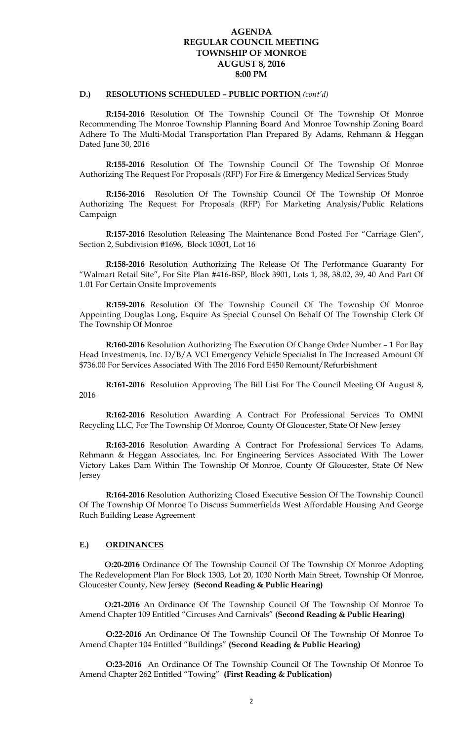## **AGENDA REGULAR COUNCIL MEETING TOWNSHIP OF MONROE AUGUST 8, 2016 8:00 PM**

## **D.) RESOLUTIONS SCHEDULED – PUBLIC PORTION** *(cont'd)*

**R:154-2016** Resolution Of The Township Council Of The Township Of Monroe Recommending The Monroe Township Planning Board And Monroe Township Zoning Board Adhere To The Multi-Modal Transportation Plan Prepared By Adams, Rehmann & Heggan Dated June 30, 2016

**R:155-2016** Resolution Of The Township Council Of The Township Of Monroe Authorizing The Request For Proposals (RFP) For Fire & Emergency Medical Services Study

**R:156-2016** Resolution Of The Township Council Of The Township Of Monroe Authorizing The Request For Proposals (RFP) For Marketing Analysis/Public Relations Campaign

**R:157-2016** Resolution Releasing The Maintenance Bond Posted For "Carriage Glen", Section 2, Subdivision #1696, Block 10301, Lot 16

**R:158-2016** Resolution Authorizing The Release Of The Performance Guaranty For "Walmart Retail Site", For Site Plan #416-BSP, Block 3901, Lots 1, 38, 38.02, 39, 40 And Part Of 1.01 For Certain Onsite Improvements

**R:159-2016** Resolution Of The Township Council Of The Township Of Monroe Appointing Douglas Long, Esquire As Special Counsel On Behalf Of The Township Clerk Of The Township Of Monroe

**R:160-2016** Resolution Authorizing The Execution Of Change Order Number – 1 For Bay Head Investments, Inc. D/B/A VCI Emergency Vehicle Specialist In The Increased Amount Of \$736.00 For Services Associated With The 2016 Ford E450 Remount/Refurbishment

**R:161-2016** Resolution Approving The Bill List For The Council Meeting Of August 8, 2016

**R:162-2016** Resolution Awarding A Contract For Professional Services To OMNI Recycling LLC, For The Township Of Monroe, County Of Gloucester, State Of New Jersey

**R:163-2016** Resolution Awarding A Contract For Professional Services To Adams, Rehmann & Heggan Associates, Inc. For Engineering Services Associated With The Lower Victory Lakes Dam Within The Township Of Monroe, County Of Gloucester, State Of New Jersey

**R:164-2016** Resolution Authorizing Closed Executive Session Of The Township Council Of The Township Of Monroe To Discuss Summerfields West Affordable Housing And George Ruch Building Lease Agreement

### **E.) ORDINANCES**

 **O:20-2016** Ordinance Of The Township Council Of The Township Of Monroe Adopting The Redevelopment Plan For Block 1303, Lot 20, 1030 North Main Street, Township Of Monroe, Gloucester County, New Jersey **(Second Reading & Public Hearing)** 

 **O:21-2016** An Ordinance Of The Township Council Of The Township Of Monroe To Amend Chapter 109 Entitled "Circuses And Carnivals" **(Second Reading & Public Hearing)** 

**O:22-2016** An Ordinance Of The Township Council Of The Township Of Monroe To Amend Chapter 104 Entitled "Buildings" **(Second Reading & Public Hearing)** 

**O:23-2016** An Ordinance Of The Township Council Of The Township Of Monroe To Amend Chapter 262 Entitled "Towing" **(First Reading & Publication)**